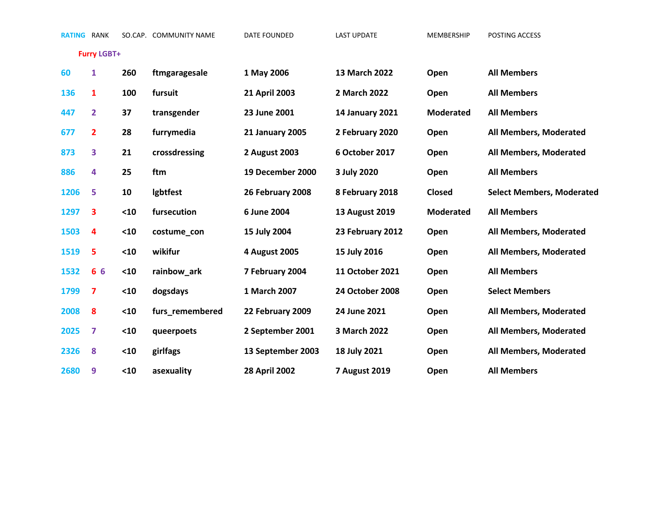**RATING** RANK SO.CAP. COMMUNITY NAME DATE FOUNDED LAST UPDATE MEMBERSHIP POSTING ACCESS

**Furry LGBT+**

| 60   | 1                       | 260  | ftmgaragesale   | 1 May 2006             | 13 March 2022          | Open             | <b>All Members</b>               |
|------|-------------------------|------|-----------------|------------------------|------------------------|------------------|----------------------------------|
| 136  | 1                       | 100  | fursuit         | 21 April 2003          | 2 March 2022           | Open             | <b>All Members</b>               |
| 447  | $\overline{2}$          | 37   | transgender     | 23 June 2001           | <b>14 January 2021</b> | <b>Moderated</b> | <b>All Members</b>               |
| 677  | $\overline{2}$          | 28   | furrymedia      | <b>21 January 2005</b> | 2 February 2020        | Open             | All Members, Moderated           |
| 873  | 3                       | 21   | crossdressing   | 2 August 2003          | 6 October 2017         | Open             | All Members, Moderated           |
| 886  | 4                       | 25   | ftm             | 19 December 2000       | 3 July 2020            | Open             | <b>All Members</b>               |
| 1206 | 5                       | 10   | Igbtfest        | 26 February 2008       | 8 February 2018        | Closed           | <b>Select Members, Moderated</b> |
| 1297 | 3                       | $10$ | fursecution     | 6 June 2004            | 13 August 2019         | <b>Moderated</b> | <b>All Members</b>               |
| 1503 | $\overline{\mathbf{4}}$ | $10$ | costume_con     | 15 July 2004           | 23 February 2012       | Open             | All Members, Moderated           |
| 1519 | 5                       | $10$ | wikifur         | 4 August 2005          | 15 July 2016           | Open             | All Members, Moderated           |
| 1532 | 6 6                     | $10$ | rainbow_ark     | 7 February 2004        | <b>11 October 2021</b> | Open             | <b>All Members</b>               |
| 1799 | 7                       | $10$ | dogsdays        | 1 March 2007           | <b>24 October 2008</b> | Open             | <b>Select Members</b>            |
| 2008 | 8                       | $10$ | furs_remembered | 22 February 2009       | 24 June 2021           | Open             | All Members, Moderated           |
| 2025 | 7                       | $10$ | queerpoets      | 2 September 2001       | 3 March 2022           | Open             | All Members, Moderated           |
| 2326 | 8                       | $10$ | girlfags        | 13 September 2003      | 18 July 2021           | Open             | All Members, Moderated           |
| 2680 | 9                       | $10$ | asexuality      | <b>28 April 2002</b>   | <b>7 August 2019</b>   | Open             | <b>All Members</b>               |